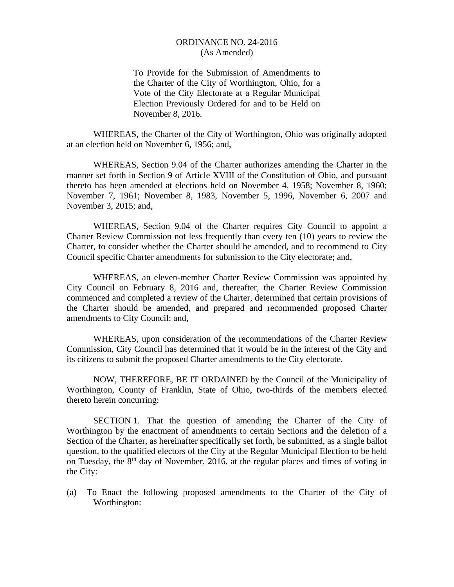To Provide for the Submission of Amendments to the Charter of the City of Worthington, Ohio, for a Vote of the City Electorate at a Regular Municipal Election Previously Ordered for and to be Held on November 8, 2016.

 WHEREAS, the Charter of the City of Worthington, Ohio was originally adopted at an election held on November 6, 1956; and,

 WHEREAS, Section 9.04 of the Charter authorizes amending the Charter in the manner set forth in Section 9 of Article XVIII of the Constitution of Ohio, and pursuant thereto has been amended at elections held on November 4, 1958; November 8, 1960; November 7, 1961; November 8, 1983, November 5, 1996, November 6, 2007 and November 3, 2015; and,

 WHEREAS, Section 9.04 of the Charter requires City Council to appoint a Charter Review Commission not less frequently than every ten (10) years to review the Charter, to consider whether the Charter should be amended, and to recommend to City Council specific Charter amendments for submission to the City electorate; and,

 WHEREAS, an eleven-member Charter Review Commission was appointed by City Council on February 8, 2016 and, thereafter, the Charter Review Commission commenced and completed a review of the Charter, determined that certain provisions of the Charter should be amended, and prepared and recommended proposed Charter amendments to City Council; and,

 WHEREAS, upon consideration of the recommendations of the Charter Review Commission, City Council has determined that it would be in the interest of the City and its citizens to submit the proposed Charter amendments to the City electorate.

 NOW, THEREFORE, BE IT ORDAINED by the Council of the Municipality of Worthington, County of Franklin, State of Ohio, two-thirds of the members elected thereto herein concurring:

SECTION 1. That the question of amending the Charter of the City of Worthington by the enactment of amendments to certain Sections and the deletion of a Section of the Charter, as hereinafter specifically set forth, be submitted, as a single ballot question, to the qualified electors of the City at the Regular Municipal Election to be held on Tuesday, the  $8<sup>th</sup>$  day of November, 2016, at the regular places and times of voting in the City:

(a) To Enact the following proposed amendments to the Charter of the City of Worthington: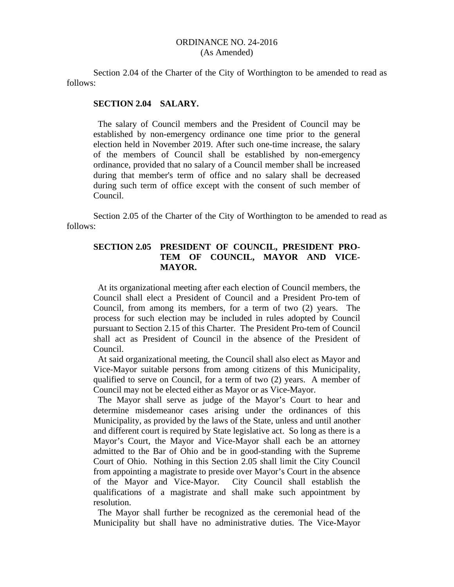Section 2.04 of the Charter of the City of Worthington to be amended to read as follows:

#### **SECTION 2.04 SALARY.**

 The salary of Council members and the President of Council may be established by non-emergency ordinance one time prior to the general election held in November 2019. After such one-time increase, the salary of the members of Council shall be established by non-emergency ordinance, provided that no salary of a Council member shall be increased during that member's term of office and no salary shall be decreased during such term of office except with the consent of such member of Council.

Section 2.05 of the Charter of the City of Worthington to be amended to read as follows:

# **SECTION 2.05 PRESIDENT OF COUNCIL, PRESIDENT PRO- TEM OF COUNCIL, MAYOR AND VICE- MAYOR.**

 At its organizational meeting after each election of Council members, the Council shall elect a President of Council and a President Pro-tem of Council, from among its members, for a term of two (2) years. The process for such election may be included in rules adopted by Council pursuant to Section 2.15 of this Charter. The President Pro-tem of Council shall act as President of Council in the absence of the President of Council.

 At said organizational meeting, the Council shall also elect as Mayor and Vice-Mayor suitable persons from among citizens of this Municipality, qualified to serve on Council, for a term of two (2) years. A member of Council may not be elected either as Mayor or as Vice-Mayor.

 The Mayor shall serve as judge of the Mayor's Court to hear and determine misdemeanor cases arising under the ordinances of this Municipality, as provided by the laws of the State, unless and until another and different court is required by State legislative act. So long as there is a Mayor's Court, the Mayor and Vice-Mayor shall each be an attorney admitted to the Bar of Ohio and be in good-standing with the Supreme Court of Ohio. Nothing in this Section 2.05 shall limit the City Council from appointing a magistrate to preside over Mayor's Court in the absence of the Mayor and Vice-Mayor. City Council shall establish the qualifications of a magistrate and shall make such appointment by resolution.

 The Mayor shall further be recognized as the ceremonial head of the Municipality but shall have no administrative duties. The Vice-Mayor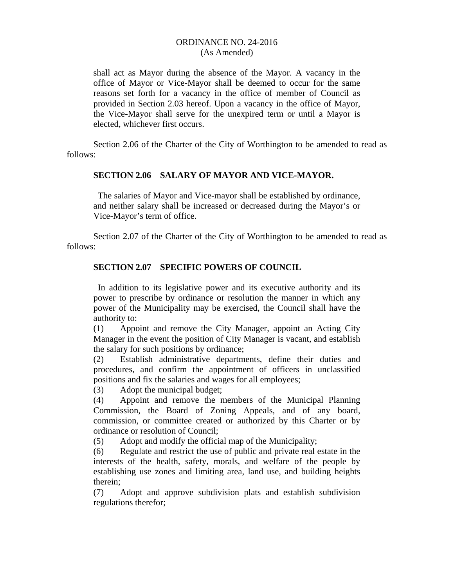shall act as Mayor during the absence of the Mayor. A vacancy in the office of Mayor or Vice-Mayor shall be deemed to occur for the same reasons set forth for a vacancy in the office of member of Council as provided in Section 2.03 hereof. Upon a vacancy in the office of Mayor, the Vice-Mayor shall serve for the unexpired term or until a Mayor is elected, whichever first occurs.

Section 2.06 of the Charter of the City of Worthington to be amended to read as follows:

## **SECTION 2.06 SALARY OF MAYOR AND VICE-MAYOR.**

 The salaries of Mayor and Vice-mayor shall be established by ordinance, and neither salary shall be increased or decreased during the Mayor's or Vice-Mayor's term of office.

Section 2.07 of the Charter of the City of Worthington to be amended to read as follows:

## **SECTION 2.07 SPECIFIC POWERS OF COUNCIL**

 In addition to its legislative power and its executive authority and its power to prescribe by ordinance or resolution the manner in which any power of the Municipality may be exercised, the Council shall have the authority to:

(1) Appoint and remove the City Manager, appoint an Acting City Manager in the event the position of City Manager is vacant, and establish the salary for such positions by ordinance;

(2) Establish administrative departments, define their duties and procedures, and confirm the appointment of officers in unclassified positions and fix the salaries and wages for all employees;

(3) Adopt the municipal budget;

(4) Appoint and remove the members of the Municipal Planning Commission, the Board of Zoning Appeals, and of any board, commission, or committee created or authorized by this Charter or by ordinance or resolution of Council;

(5) Adopt and modify the official map of the Municipality;

(6) Regulate and restrict the use of public and private real estate in the interests of the health, safety, morals, and welfare of the people by establishing use zones and limiting area, land use, and building heights therein;

(7) Adopt and approve subdivision plats and establish subdivision regulations therefor;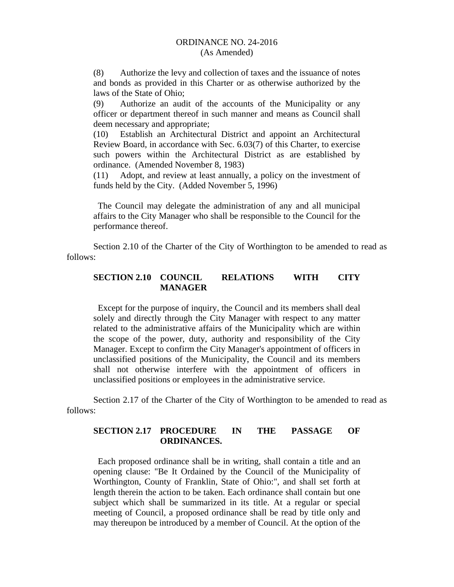(8) Authorize the levy and collection of taxes and the issuance of notes and bonds as provided in this Charter or as otherwise authorized by the laws of the State of Ohio;

(9) Authorize an audit of the accounts of the Municipality or any officer or department thereof in such manner and means as Council shall deem necessary and appropriate;

(10) Establish an Architectural District and appoint an Architectural Review Board, in accordance with Sec. 6.03(7) of this Charter, to exercise such powers within the Architectural District as are established by ordinance. (Amended November 8, 1983)

(11) Adopt, and review at least annually, a policy on the investment of funds held by the City. (Added November 5, 1996)

 The Council may delegate the administration of any and all municipal affairs to the City Manager who shall be responsible to the Council for the performance thereof.

Section 2.10 of the Charter of the City of Worthington to be amended to read as follows:

# **SECTION 2.10 COUNCIL RELATIONS WITH CITY MANAGER**

 Except for the purpose of inquiry, the Council and its members shall deal solely and directly through the City Manager with respect to any matter related to the administrative affairs of the Municipality which are within the scope of the power, duty, authority and responsibility of the City Manager. Except to confirm the City Manager's appointment of officers in unclassified positions of the Municipality, the Council and its members shall not otherwise interfere with the appointment of officers in unclassified positions or employees in the administrative service.

Section 2.17 of the Charter of the City of Worthington to be amended to read as follows:

# **SECTION 2.17 PROCEDURE IN THE PASSAGE OF ORDINANCES.**

 Each proposed ordinance shall be in writing, shall contain a title and an opening clause: "Be It Ordained by the Council of the Municipality of Worthington, County of Franklin, State of Ohio:", and shall set forth at length therein the action to be taken. Each ordinance shall contain but one subject which shall be summarized in its title. At a regular or special meeting of Council, a proposed ordinance shall be read by title only and may thereupon be introduced by a member of Council. At the option of the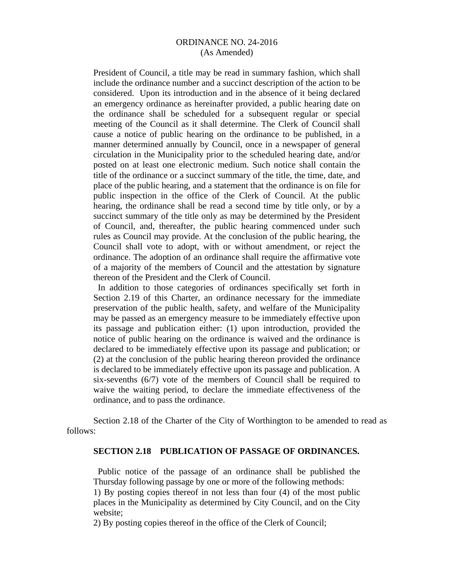President of Council, a title may be read in summary fashion, which shall include the ordinance number and a succinct description of the action to be considered. Upon its introduction and in the absence of it being declared an emergency ordinance as hereinafter provided, a public hearing date on the ordinance shall be scheduled for a subsequent regular or special meeting of the Council as it shall determine. The Clerk of Council shall cause a notice of public hearing on the ordinance to be published, in a manner determined annually by Council, once in a newspaper of general circulation in the Municipality prior to the scheduled hearing date, and/or posted on at least one electronic medium. Such notice shall contain the title of the ordinance or a succinct summary of the title, the time, date, and place of the public hearing, and a statement that the ordinance is on file for public inspection in the office of the Clerk of Council. At the public hearing, the ordinance shall be read a second time by title only, or by a succinct summary of the title only as may be determined by the President of Council, and, thereafter, the public hearing commenced under such rules as Council may provide. At the conclusion of the public hearing, the Council shall vote to adopt, with or without amendment, or reject the ordinance. The adoption of an ordinance shall require the affirmative vote of a majority of the members of Council and the attestation by signature thereon of the President and the Clerk of Council.

 In addition to those categories of ordinances specifically set forth in Section 2.19 of this Charter, an ordinance necessary for the immediate preservation of the public health, safety, and welfare of the Municipality may be passed as an emergency measure to be immediately effective upon its passage and publication either: (1) upon introduction, provided the notice of public hearing on the ordinance is waived and the ordinance is declared to be immediately effective upon its passage and publication; or (2) at the conclusion of the public hearing thereon provided the ordinance is declared to be immediately effective upon its passage and publication. A six-sevenths (6/7) vote of the members of Council shall be required to waive the waiting period, to declare the immediate effectiveness of the ordinance, and to pass the ordinance.

Section 2.18 of the Charter of the City of Worthington to be amended to read as follows:

#### **SECTION 2.18 PUBLICATION OF PASSAGE OF ORDINANCES.**

 Public notice of the passage of an ordinance shall be published the Thursday following passage by one or more of the following methods:

1) By posting copies thereof in not less than four (4) of the most public places in the Municipality as determined by City Council, and on the City website;

2) By posting copies thereof in the office of the Clerk of Council;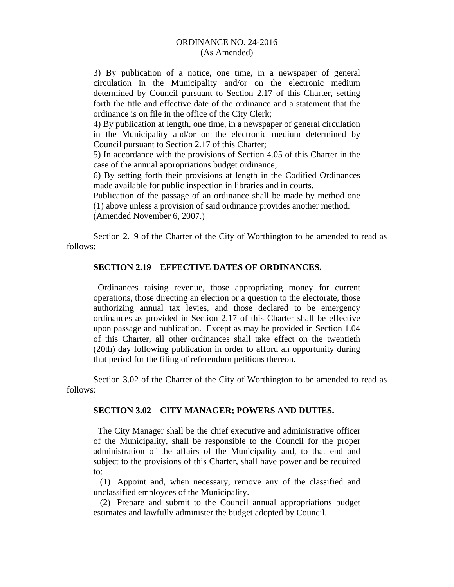3) By publication of a notice, one time, in a newspaper of general circulation in the Municipality and/or on the electronic medium determined by Council pursuant to Section 2.17 of this Charter, setting forth the title and effective date of the ordinance and a statement that the ordinance is on file in the office of the City Clerk;

4) By publication at length, one time, in a newspaper of general circulation in the Municipality and/or on the electronic medium determined by Council pursuant to Section 2.17 of this Charter;

5) In accordance with the provisions of Section 4.05 of this Charter in the case of the annual appropriations budget ordinance;

6) By setting forth their provisions at length in the Codified Ordinances made available for public inspection in libraries and in courts.

Publication of the passage of an ordinance shall be made by method one (1) above unless a provision of said ordinance provides another method. (Amended November 6, 2007.)

Section 2.19 of the Charter of the City of Worthington to be amended to read as follows:

## **SECTION 2.19 EFFECTIVE DATES OF ORDINANCES.**

 Ordinances raising revenue, those appropriating money for current operations, those directing an election or a question to the electorate, those authorizing annual tax levies, and those declared to be emergency ordinances as provided in Section 2.17 of this Charter shall be effective upon passage and publication. Except as may be provided in Section 1.04 of this Charter, all other ordinances shall take effect on the twentieth (20th) day following publication in order to afford an opportunity during that period for the filing of referendum petitions thereon.

Section 3.02 of the Charter of the City of Worthington to be amended to read as follows:

#### **SECTION 3.02 CITY MANAGER; POWERS AND DUTIES.**

 The City Manager shall be the chief executive and administrative officer of the Municipality, shall be responsible to the Council for the proper administration of the affairs of the Municipality and, to that end and subject to the provisions of this Charter, shall have power and be required to:

 (1) Appoint and, when necessary, remove any of the classified and unclassified employees of the Municipality.

 (2) Prepare and submit to the Council annual appropriations budget estimates and lawfully administer the budget adopted by Council.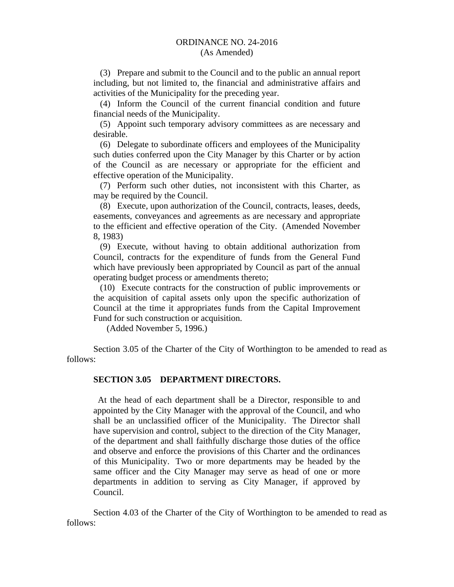# ORDINANCE NO. 24-2016

# (As Amended)

 (3) Prepare and submit to the Council and to the public an annual report including, but not limited to, the financial and administrative affairs and activities of the Municipality for the preceding year.

 (4) Inform the Council of the current financial condition and future financial needs of the Municipality.

 (5) Appoint such temporary advisory committees as are necessary and desirable.

 (6) Delegate to subordinate officers and employees of the Municipality such duties conferred upon the City Manager by this Charter or by action of the Council as are necessary or appropriate for the efficient and effective operation of the Municipality.

 (7) Perform such other duties, not inconsistent with this Charter, as may be required by the Council.

 (8) Execute, upon authorization of the Council, contracts, leases, deeds, easements, conveyances and agreements as are necessary and appropriate to the efficient and effective operation of the City. (Amended November 8, 1983)

 (9) Execute, without having to obtain additional authorization from Council, contracts for the expenditure of funds from the General Fund which have previously been appropriated by Council as part of the annual operating budget process or amendments thereto;

 (10) Execute contracts for the construction of public improvements or the acquisition of capital assets only upon the specific authorization of Council at the time it appropriates funds from the Capital Improvement Fund for such construction or acquisition.

(Added November 5, 1996.)

Section 3.05 of the Charter of the City of Worthington to be amended to read as follows:

### **SECTION 3.05 DEPARTMENT DIRECTORS.**

 At the head of each department shall be a Director, responsible to and appointed by the City Manager with the approval of the Council, and who shall be an unclassified officer of the Municipality. The Director shall have supervision and control, subject to the direction of the City Manager, of the department and shall faithfully discharge those duties of the office and observe and enforce the provisions of this Charter and the ordinances of this Municipality. Two or more departments may be headed by the same officer and the City Manager may serve as head of one or more departments in addition to serving as City Manager, if approved by Council.

Section 4.03 of the Charter of the City of Worthington to be amended to read as follows: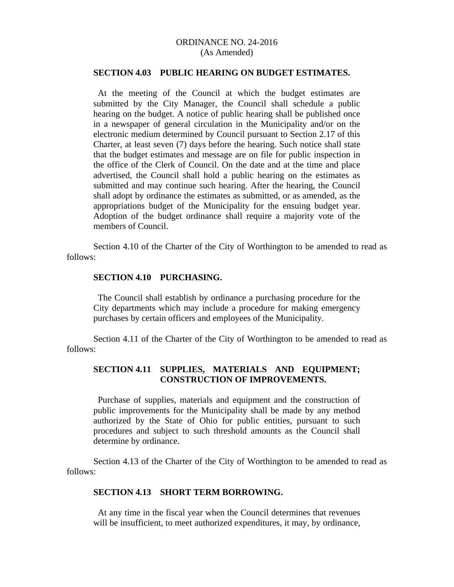#### **SECTION 4.03 PUBLIC HEARING ON BUDGET ESTIMATES.**

 At the meeting of the Council at which the budget estimates are submitted by the City Manager, the Council shall schedule a public hearing on the budget. A notice of public hearing shall be published once in a newspaper of general circulation in the Municipality and/or on the electronic medium determined by Council pursuant to Section 2.17 of this Charter, at least seven (7) days before the hearing. Such notice shall state that the budget estimates and message are on file for public inspection in the office of the Clerk of Council. On the date and at the time and place advertised, the Council shall hold a public hearing on the estimates as submitted and may continue such hearing. After the hearing, the Council shall adopt by ordinance the estimates as submitted, or as amended, as the appropriations budget of the Municipality for the ensuing budget year. Adoption of the budget ordinance shall require a majority vote of the members of Council.

Section 4.10 of the Charter of the City of Worthington to be amended to read as follows:

## **SECTION 4.10 PURCHASING.**

 The Council shall establish by ordinance a purchasing procedure for the City departments which may include a procedure for making emergency purchases by certain officers and employees of the Municipality.

Section 4.11 of the Charter of the City of Worthington to be amended to read as follows:

## **SECTION 4.11 SUPPLIES, MATERIALS AND EQUIPMENT; CONSTRUCTION OF IMPROVEMENTS.**

 Purchase of supplies, materials and equipment and the construction of public improvements for the Municipality shall be made by any method authorized by the State of Ohio for public entities, pursuant to such procedures and subject to such threshold amounts as the Council shall determine by ordinance.

Section 4.13 of the Charter of the City of Worthington to be amended to read as follows:

#### **SECTION 4.13 SHORT TERM BORROWING.**

 At any time in the fiscal year when the Council determines that revenues will be insufficient, to meet authorized expenditures, it may, by ordinance,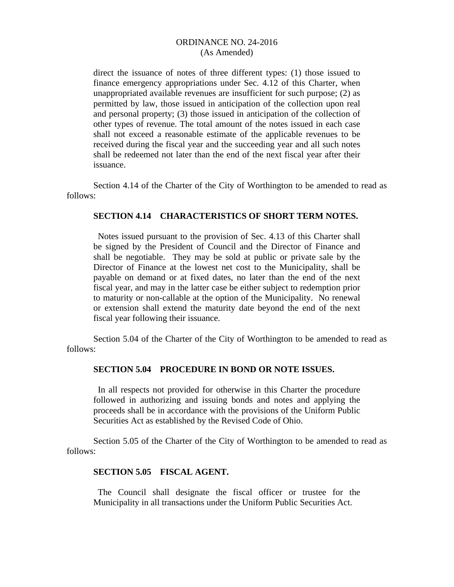direct the issuance of notes of three different types: (1) those issued to finance emergency appropriations under Sec. 4.12 of this Charter, when unappropriated available revenues are insufficient for such purpose; (2) as permitted by law, those issued in anticipation of the collection upon real and personal property; (3) those issued in anticipation of the collection of other types of revenue. The total amount of the notes issued in each case shall not exceed a reasonable estimate of the applicable revenues to be received during the fiscal year and the succeeding year and all such notes shall be redeemed not later than the end of the next fiscal year after their issuance.

Section 4.14 of the Charter of the City of Worthington to be amended to read as follows:

## **SECTION 4.14 CHARACTERISTICS OF SHORT TERM NOTES.**

Notes issued pursuant to the provision of Sec. 4.13 of this Charter shall be signed by the President of Council and the Director of Finance and shall be negotiable. They may be sold at public or private sale by the Director of Finance at the lowest net cost to the Municipality, shall be payable on demand or at fixed dates, no later than the end of the next fiscal year, and may in the latter case be either subject to redemption prior to maturity or non-callable at the option of the Municipality. No renewal or extension shall extend the maturity date beyond the end of the next fiscal year following their issuance.

Section 5.04 of the Charter of the City of Worthington to be amended to read as follows:

#### **SECTION 5.04 PROCEDURE IN BOND OR NOTE ISSUES.**

 In all respects not provided for otherwise in this Charter the procedure followed in authorizing and issuing bonds and notes and applying the proceeds shall be in accordance with the provisions of the Uniform Public Securities Act as established by the Revised Code of Ohio.

Section 5.05 of the Charter of the City of Worthington to be amended to read as follows:

#### **SECTION 5.05 FISCAL AGENT.**

 The Council shall designate the fiscal officer or trustee for the Municipality in all transactions under the Uniform Public Securities Act.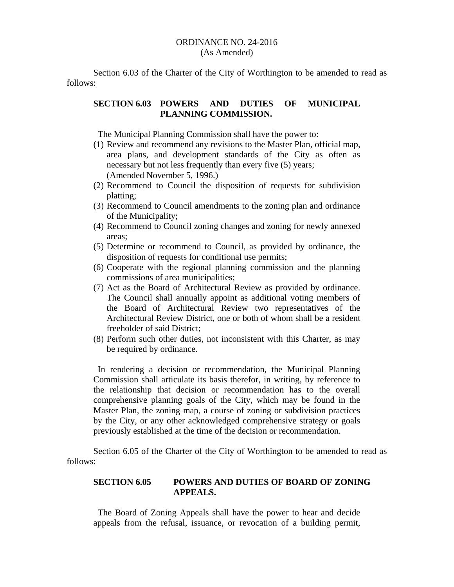Section 6.03 of the Charter of the City of Worthington to be amended to read as follows:

## **SECTION 6.03 POWERS AND DUTIES OF MUNICIPAL PLANNING COMMISSION.**

The Municipal Planning Commission shall have the power to:

- (1) Review and recommend any revisions to the Master Plan, official map, area plans, and development standards of the City as often as necessary but not less frequently than every five (5) years; (Amended November 5, 1996.)
- (2) Recommend to Council the disposition of requests for subdivision platting;
- (3) Recommend to Council amendments to the zoning plan and ordinance of the Municipality;
- (4) Recommend to Council zoning changes and zoning for newly annexed areas;
- (5) Determine or recommend to Council, as provided by ordinance, the disposition of requests for conditional use permits;
- (6) Cooperate with the regional planning commission and the planning commissions of area municipalities;
- (7) Act as the Board of Architectural Review as provided by ordinance. The Council shall annually appoint as additional voting members of the Board of Architectural Review two representatives of the Architectural Review District, one or both of whom shall be a resident freeholder of said District;
- (8) Perform such other duties, not inconsistent with this Charter, as may be required by ordinance.

 In rendering a decision or recommendation, the Municipal Planning Commission shall articulate its basis therefor, in writing, by reference to the relationship that decision or recommendation has to the overall comprehensive planning goals of the City, which may be found in the Master Plan, the zoning map, a course of zoning or subdivision practices by the City, or any other acknowledged comprehensive strategy or goals previously established at the time of the decision or recommendation.

Section 6.05 of the Charter of the City of Worthington to be amended to read as follows:

## **SECTION 6.05 POWERS AND DUTIES OF BOARD OF ZONING APPEALS.**

 The Board of Zoning Appeals shall have the power to hear and decide appeals from the refusal, issuance, or revocation of a building permit,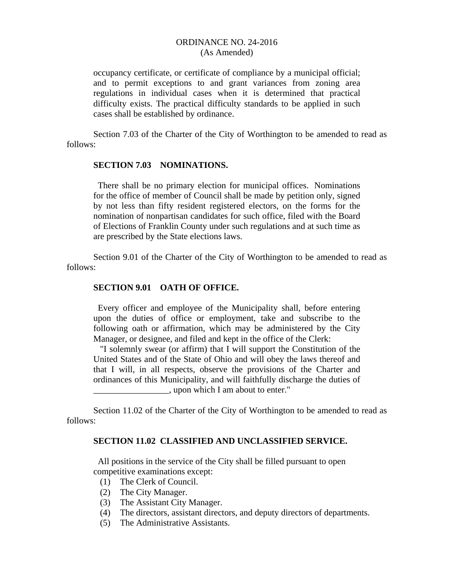occupancy certificate, or certificate of compliance by a municipal official; and to permit exceptions to and grant variances from zoning area regulations in individual cases when it is determined that practical difficulty exists. The practical difficulty standards to be applied in such cases shall be established by ordinance.

Section 7.03 of the Charter of the City of Worthington to be amended to read as follows:

#### **SECTION 7.03 NOMINATIONS.**

 There shall be no primary election for municipal offices. Nominations for the office of member of Council shall be made by petition only, signed by not less than fifty resident registered electors, on the forms for the nomination of nonpartisan candidates for such office, filed with the Board of Elections of Franklin County under such regulations and at such time as are prescribed by the State elections laws.

Section 9.01 of the Charter of the City of Worthington to be amended to read as follows:

## **SECTION 9.01 OATH OF OFFICE.**

 Every officer and employee of the Municipality shall, before entering upon the duties of office or employment, take and subscribe to the following oath or affirmation, which may be administered by the City Manager, or designee, and filed and kept in the office of the Clerk:

 "I solemnly swear (or affirm) that I will support the Constitution of the United States and of the State of Ohio and will obey the laws thereof and that I will, in all respects, observe the provisions of the Charter and ordinances of this Municipality, and will faithfully discharge the duties of \_\_\_\_\_\_\_\_\_\_\_\_\_\_\_\_\_, upon which I am about to enter."

Section 11.02 of the Charter of the City of Worthington to be amended to read as follows:

## **SECTION 11.02 CLASSIFIED AND UNCLASSIFIED SERVICE.**

 All positions in the service of the City shall be filled pursuant to open competitive examinations except:

- (1) The Clerk of Council.
- (2) The City Manager.
- (3) The Assistant City Manager.
- (4) The directors, assistant directors, and deputy directors of departments.
- (5) The Administrative Assistants.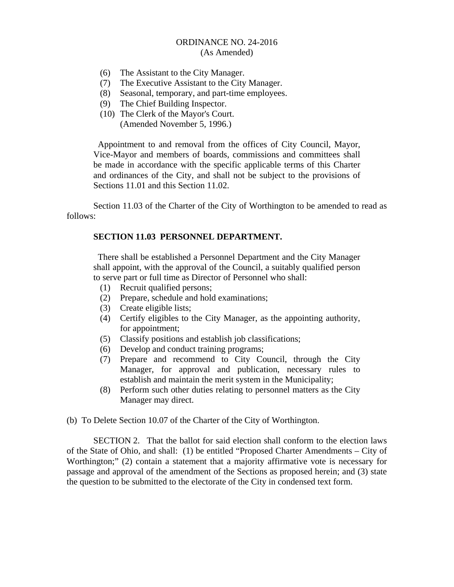- (6) The Assistant to the City Manager.
- (7) The Executive Assistant to the City Manager.
- (8) Seasonal, temporary, and part-time employees.
- (9) The Chief Building Inspector.
- (10) The Clerk of the Mayor's Court. (Amended November 5, 1996.)

 Appointment to and removal from the offices of City Council, Mayor, Vice-Mayor and members of boards, commissions and committees shall be made in accordance with the specific applicable terms of this Charter and ordinances of the City, and shall not be subject to the provisions of Sections 11.01 and this Section 11.02.

 Section 11.03 of the Charter of the City of Worthington to be amended to read as follows:

# **SECTION 11.03 PERSONNEL DEPARTMENT.**

 There shall be established a Personnel Department and the City Manager shall appoint, with the approval of the Council, a suitably qualified person to serve part or full time as Director of Personnel who shall:

- (1) Recruit qualified persons;
- (2) Prepare, schedule and hold examinations;
- (3) Create eligible lists;
- (4) Certify eligibles to the City Manager, as the appointing authority, for appointment;
- (5) Classify positions and establish job classifications;
- (6) Develop and conduct training programs;
- (7) Prepare and recommend to City Council, through the City Manager, for approval and publication, necessary rules to establish and maintain the merit system in the Municipality;
- (8) Perform such other duties relating to personnel matters as the City Manager may direct.
- (b) To Delete Section 10.07 of the Charter of the City of Worthington.

SECTION 2. That the ballot for said election shall conform to the election laws of the State of Ohio, and shall: (1) be entitled "Proposed Charter Amendments – City of Worthington;" (2) contain a statement that a majority affirmative vote is necessary for passage and approval of the amendment of the Sections as proposed herein; and (3) state the question to be submitted to the electorate of the City in condensed text form.